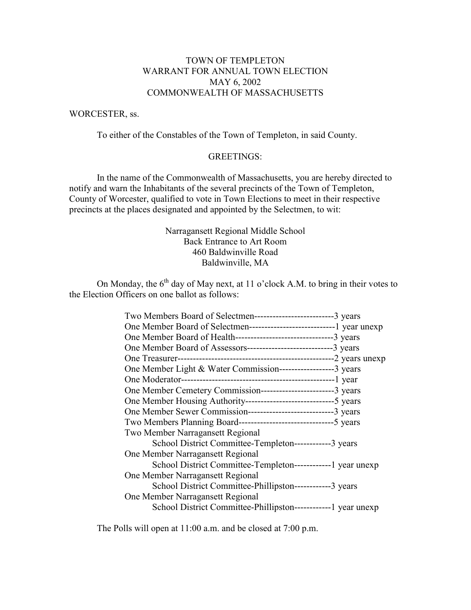# TOWN OF TEMPLETON WARRANT FOR ANNUAL TOWN ELECTION MAY 6, 2002 COMMONWEALTH OF MASSACHUSETTS

### WORCESTER, ss.

To either of the Constables of the Town of Templeton, in said County.

### GREETINGS:

 In the name of the Commonwealth of Massachusetts, you are hereby directed to notify and warn the Inhabitants of the several precincts of the Town of Templeton, County of Worcester, qualified to vote in Town Elections to meet in their respective precincts at the places designated and appointed by the Selectmen, to wit:

## Narragansett Regional Middle School Back Entrance to Art Room 460 Baldwinville Road Baldwinville, MA

On Monday, the  $6<sup>th</sup>$  day of May next, at 11 o'clock A.M. to bring in their votes to the Election Officers on one ballot as follows:

| Two Members Board of Selectmen--------------------------3 years      |  |
|----------------------------------------------------------------------|--|
|                                                                      |  |
| One Member Board of Health-----------------------------------3 years |  |
| One Member Board of Assessors-------------------------------3 years  |  |
|                                                                      |  |
| One Member Light & Water Commission------------------3 years         |  |
|                                                                      |  |
| One Member Cemetery Commission--------------------------3 vears      |  |
| One Member Housing Authority-------------------------------5 years   |  |
| One Member Sewer Commission--------------------------------3 years   |  |
| Two Members Planning Board---------------------------------5 years   |  |
| Two Member Narragansett Regional                                     |  |
| School District Committee-Templeton------------3 years               |  |
| One Member Narragansett Regional                                     |  |
|                                                                      |  |
| One Member Narragansett Regional                                     |  |
| School District Committee-Phillipston-------------3 years            |  |
| One Member Narragansett Regional                                     |  |
|                                                                      |  |

The Polls will open at 11:00 a.m. and be closed at 7:00 p.m.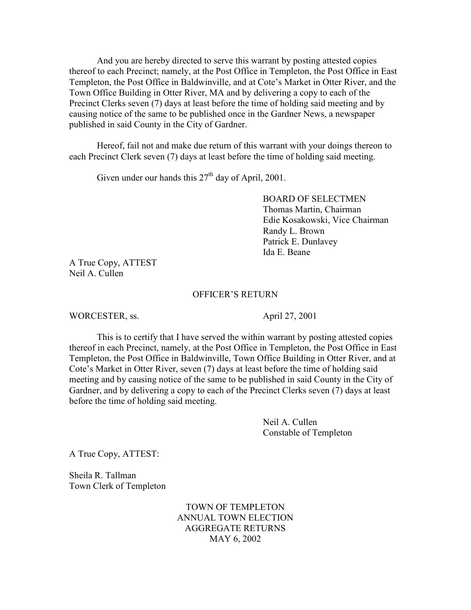And you are hereby directed to serve this warrant by posting attested copies thereof to each Precinct; namely, at the Post Office in Templeton, the Post Office in East Templeton, the Post Office in Baldwinville, and at Cote's Market in Otter River, and the Town Office Building in Otter River, MA and by delivering a copy to each of the Precinct Clerks seven (7) days at least before the time of holding said meeting and by causing notice of the same to be published once in the Gardner News, a newspaper published in said County in the City of Gardner.

 Hereof, fail not and make due return of this warrant with your doings thereon to each Precinct Clerk seven (7) days at least before the time of holding said meeting.

Given under our hands this  $27<sup>th</sup>$  day of April, 2001.

 BOARD OF SELECTMEN Thomas Martin, Chairman Edie Kosakowski, Vice Chairman Randy L. Brown Patrick E. Dunlavey Ida E. Beane

A True Copy, ATTEST Neil A. Cullen

#### OFFICER'S RETURN

WORCESTER, ss. April 27, 2001

 This is to certify that I have served the within warrant by posting attested copies thereof in each Precinct, namely, at the Post Office in Templeton, the Post Office in East Templeton, the Post Office in Baldwinville, Town Office Building in Otter River, and at Cote's Market in Otter River, seven (7) days at least before the time of holding said meeting and by causing notice of the same to be published in said County in the City of Gardner, and by delivering a copy to each of the Precinct Clerks seven (7) days at least before the time of holding said meeting.

> Neil A. Cullen Constable of Templeton

A True Copy, ATTEST:

Sheila R. Tallman Town Clerk of Templeton

> TOWN OF TEMPLETON ANNUAL TOWN ELECTION AGGREGATE RETURNS MAY 6, 2002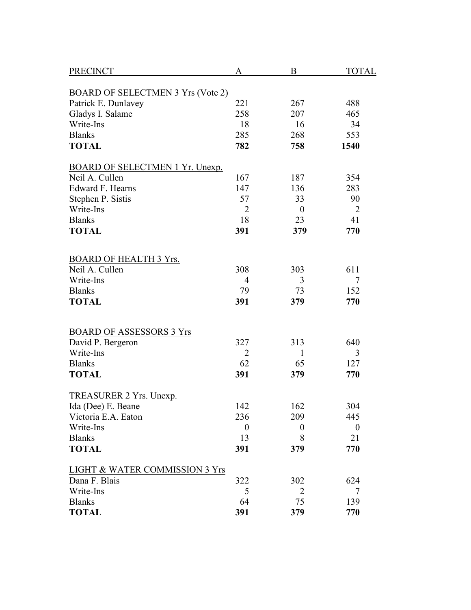| <b>PRECINCT</b>                                 | A                | B                | <b>TOTAL</b>     |
|-------------------------------------------------|------------------|------------------|------------------|
| <b>BOARD OF SELECTMEN 3 Yrs (Vote 2)</b>        |                  |                  |                  |
| Patrick E. Dunlavey                             | 221              | 267              | 488              |
| Gladys I. Salame                                | 258              | 207              | 465              |
| Write-Ins                                       | 18               | 16               | 34               |
| <b>Blanks</b>                                   | 285              | 268              | 553              |
| <b>TOTAL</b>                                    | 782              | 758              | 1540             |
| BOARD OF SELECTMEN 1 Yr. Unexp.                 |                  |                  |                  |
| Neil A. Cullen                                  | 167              | 187              | 354              |
| Edward F. Hearns                                | 147              | 136              | 283              |
| Stephen P. Sistis                               | 57               | 33               | 90               |
| Write-Ins                                       | $\overline{2}$   | $\boldsymbol{0}$ | $\overline{2}$   |
| <b>Blanks</b>                                   | 18               | 23               | 41               |
| <b>TOTAL</b>                                    | 391              | 379              | 770              |
|                                                 |                  |                  |                  |
| <b>BOARD OF HEALTH 3 Yrs.</b><br>Neil A. Cullen | 308              | 303              | 611              |
| Write-Ins                                       | $\overline{4}$   | 3                | 7                |
| <b>Blanks</b>                                   | 79               | 73               | 152              |
| <b>TOTAL</b>                                    | 391              | 379              | 770              |
|                                                 |                  |                  |                  |
| <b>BOARD OF ASSESSORS 3 Yrs</b>                 |                  |                  |                  |
| David P. Bergeron                               | 327              | 313              | 640              |
| Write-Ins                                       | $\overline{2}$   | 1                | 3                |
| <b>Blanks</b>                                   | 62               | 65               | 127              |
| <b>TOTAL</b>                                    | 391              | 379              | 770              |
| TREASURER 2 Yrs. Unexp.                         |                  |                  |                  |
| Ida (Dee) E. Beane                              | 142              | 162              | 304              |
| Victoria E.A. Eaton                             | 236              | 209              | 445              |
| Write-Ins                                       | $\boldsymbol{0}$ | $\boldsymbol{0}$ | $\boldsymbol{0}$ |
| <b>Blanks</b>                                   | 13               | 8                | 21               |
| <b>TOTAL</b>                                    | 391              | 379              | 770              |
| <b>LIGHT &amp; WATER COMMISSION 3 Yrs</b>       |                  |                  |                  |
| Dana F. Blais                                   | 322              | 302              | 624              |
| Write-Ins                                       | 5                | 2                | 7                |
| <b>Blanks</b>                                   | 64               | 75               | 139              |
| <b>TOTAL</b>                                    | 391              | 379              | 770              |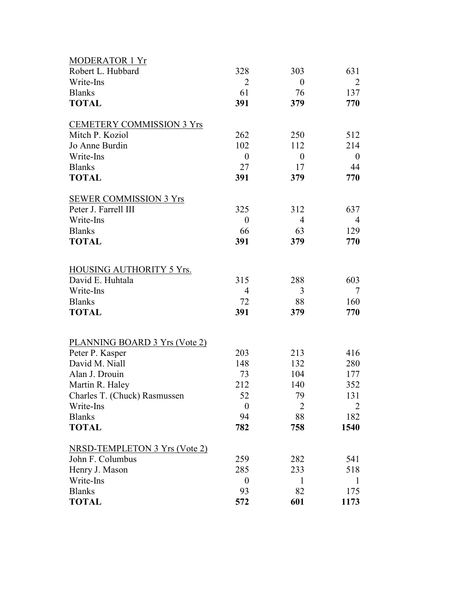| <b>MODERATOR 1 Yr</b>                                 |                  |                  |                  |
|-------------------------------------------------------|------------------|------------------|------------------|
| Robert L. Hubbard                                     | 328              | 303              | 631              |
| Write-Ins                                             | $\overline{2}$   | $\boldsymbol{0}$ | $\overline{2}$   |
| <b>Blanks</b>                                         | 61               | 76               | 137              |
| <b>TOTAL</b>                                          | 391              | 379              | 770              |
| <b>CEMETERY COMMISSION 3 Yrs</b>                      |                  |                  |                  |
| Mitch P. Koziol                                       | 262              | 250              | 512              |
| Jo Anne Burdin                                        | 102              | 112              | 214              |
| Write-Ins                                             | $\boldsymbol{0}$ | $\boldsymbol{0}$ | $\boldsymbol{0}$ |
| <b>Blanks</b>                                         | 27               | 17               | 44               |
| <b>TOTAL</b>                                          | 391              | 379              | 770              |
|                                                       |                  |                  |                  |
| <b>SEWER COMMISSION 3 Yrs</b><br>Peter J. Farrell III | 325              | 312              | 637              |
| Write-Ins                                             | $\boldsymbol{0}$ | $\overline{4}$   | 4                |
| <b>Blanks</b>                                         | 66               | 63               | 129              |
| <b>TOTAL</b>                                          | 391              | 379              | 770              |
|                                                       |                  |                  |                  |
| <b>HOUSING AUTHORITY 5 Yrs.</b>                       |                  |                  |                  |
| David E. Huhtala                                      | 315              | 288              | 603              |
| Write-Ins                                             | $\overline{4}$   | 3                | 7                |
| <b>Blanks</b>                                         | 72               | 88               | 160              |
| <b>TOTAL</b>                                          | 391              | 379              | 770              |
|                                                       |                  |                  |                  |
| PLANNING BOARD 3 Yrs (Vote 2)                         |                  |                  |                  |
| Peter P. Kasper                                       | 203              | 213              | 416              |
| David M. Niall                                        | 148              | 132              | 280              |
| Alan J. Drouin                                        | 73               | 104              | 177              |
| Martin R. Haley                                       | 212              | 140              | 352              |
| Charles T. (Chuck) Rasmussen                          | 52               | 79               | 131              |
| Write-Ins                                             | $\boldsymbol{0}$ | 2                | 2                |
| <b>Blanks</b>                                         | 94               | 88               | 182              |
| <b>TOTAL</b>                                          | 782              | 758              | 1540             |
| NRSD-TEMPLETON 3 Yrs (Vote 2)                         |                  |                  |                  |
| John F. Columbus                                      | 259              | 282              | 541              |
| Henry J. Mason                                        | 285              | 233              | 518              |
| Write-Ins                                             | $\boldsymbol{0}$ | 1                | 1                |
| <b>Blanks</b>                                         | 93               | 82               | 175              |
| <b>TOTAL</b>                                          | 572              | 601              | 1173             |